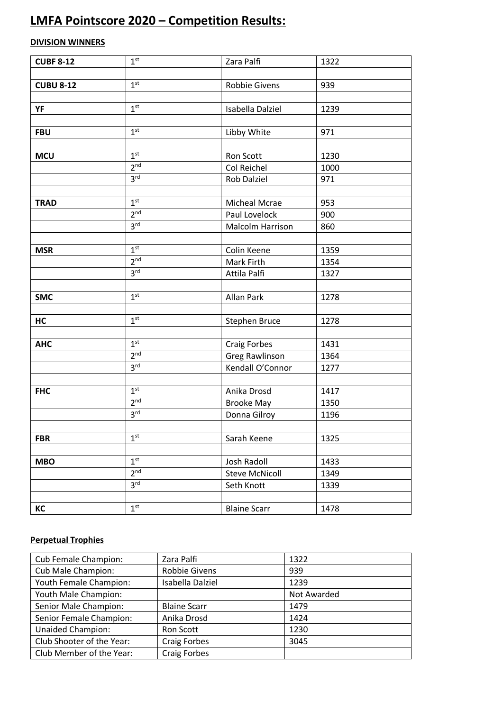# **LMFA Pointscore 2020 – Competition Results:**

## **DIVISION WINNERS**

| <b>CUBF 8-12</b> | 1 <sup>st</sup> | Zara Palfi            | 1322 |
|------------------|-----------------|-----------------------|------|
|                  |                 |                       |      |
| <b>CUBU 8-12</b> | 1 <sup>st</sup> | <b>Robbie Givens</b>  | 939  |
|                  |                 |                       |      |
| YF               | 1 <sup>st</sup> | Isabella Dalziel      | 1239 |
|                  |                 |                       |      |
| <b>FBU</b>       | 1 <sup>st</sup> | Libby White           | 971  |
|                  |                 |                       |      |
| <b>MCU</b>       | 1 <sup>st</sup> | Ron Scott             | 1230 |
|                  | 2 <sup>nd</sup> | Col Reichel           | 1000 |
|                  | 3 <sup>rd</sup> | <b>Rob Dalziel</b>    | 971  |
|                  |                 |                       |      |
| <b>TRAD</b>      | 1 <sup>st</sup> | Micheal Mcrae         | 953  |
|                  | 2 <sup>nd</sup> | Paul Lovelock         | 900  |
|                  | 3 <sup>rd</sup> | Malcolm Harrison      | 860  |
|                  |                 |                       |      |
| <b>MSR</b>       | 1 <sup>st</sup> | Colin Keene           | 1359 |
|                  | 2 <sup>nd</sup> | Mark Firth            | 1354 |
|                  | 3 <sup>rd</sup> | Attila Palfi          | 1327 |
|                  |                 |                       |      |
| <b>SMC</b>       | 1 <sup>st</sup> | Allan Park            | 1278 |
|                  |                 |                       |      |
| HC               | 1 <sup>st</sup> | Stephen Bruce         | 1278 |
|                  |                 |                       |      |
| <b>AHC</b>       | 1 <sup>st</sup> | <b>Craig Forbes</b>   | 1431 |
|                  | 2 <sup>nd</sup> | Greg Rawlinson        | 1364 |
|                  | 3 <sup>rd</sup> | Kendall O'Connor      | 1277 |
|                  |                 |                       |      |
| <b>FHC</b>       | 1 <sup>st</sup> | Anika Drosd           | 1417 |
|                  | 2 <sup>nd</sup> | <b>Brooke May</b>     | 1350 |
|                  | 3 <sup>rd</sup> | Donna Gilroy          | 1196 |
|                  |                 |                       |      |
| <b>FBR</b>       | 1 <sup>st</sup> | Sarah Keene           | 1325 |
|                  |                 |                       |      |
| <b>MBO</b>       | 1 <sup>st</sup> | Josh Radoll           | 1433 |
|                  | 2 <sup>nd</sup> | <b>Steve McNicoll</b> | 1349 |
|                  | 3 <sup>rd</sup> | Seth Knott            | 1339 |
|                  |                 |                       |      |
| КC               | 1 <sup>st</sup> | <b>Blaine Scarr</b>   | 1478 |

## **Perpetual Trophies**

| Cub Female Champion:      | Zara Palfi           | 1322        |
|---------------------------|----------------------|-------------|
| Cub Male Champion:        | <b>Robbie Givens</b> | 939         |
| Youth Female Champion:    | Isabella Dalziel     | 1239        |
| Youth Male Champion:      |                      | Not Awarded |
| Senior Male Champion:     | <b>Blaine Scarr</b>  | 1479        |
| Senior Female Champion:   | Anika Drosd          | 1424        |
| <b>Unaided Champion:</b>  | Ron Scott            | 1230        |
| Club Shooter of the Year: | <b>Craig Forbes</b>  | 3045        |
| Club Member of the Year:  | <b>Craig Forbes</b>  |             |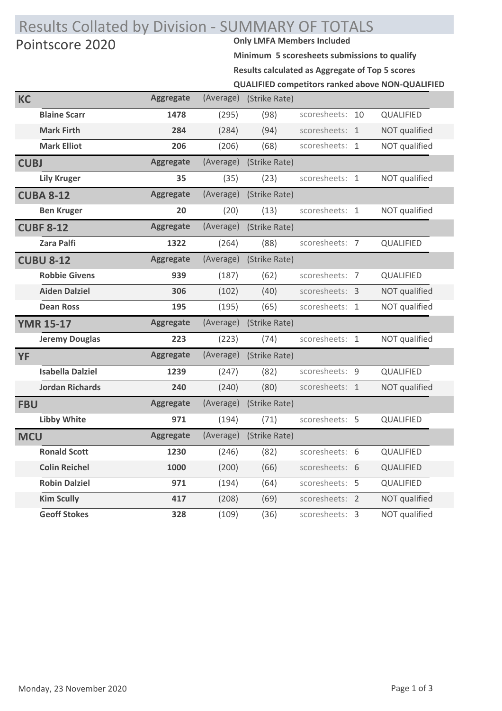# Results Collated by Division - SUMMARY OF TOTALS<br>Pointscore 2020 Pointscore 2020

**Minimum 5 scoresheets submissions to qualify**

**Results calculated as Aggregate of Top 5 scores**

**QUALIFIED competitors ranked above NON-QUALIFIED**

| KC          |                         | <b>Aggregate</b> | (Average) | (Strike Rate) |                |    |                  |
|-------------|-------------------------|------------------|-----------|---------------|----------------|----|------------------|
|             | <b>Blaine Scarr</b>     | 1478             | (295)     | (98)          | scoresheets:   | 10 | QUALIFIED        |
|             | <b>Mark Firth</b>       | 284              | (284)     | (94)          | scoresheets: 1 |    | NOT qualified    |
|             | <b>Mark Elliot</b>      | 206              | (206)     | (68)          | scoresheets: 1 |    | NOT qualified    |
| <b>CUBJ</b> |                         | <b>Aggregate</b> | (Average) | (Strike Rate) |                |    |                  |
|             | <b>Lily Kruger</b>      | 35               | (35)      | (23)          | scoresheets: 1 |    | NOT qualified    |
|             | <b>CUBA 8-12</b>        | <b>Aggregate</b> | (Average) | (Strike Rate) |                |    |                  |
|             | <b>Ben Kruger</b>       | 20               | (20)      | (13)          | scoresheets: 1 |    | NOT qualified    |
|             | <b>CUBF 8-12</b>        | <b>Aggregate</b> | (Average) | (Strike Rate) |                |    |                  |
|             | <b>Zara Palfi</b>       | 1322             | (264)     | (88)          | scoresheets: 7 |    | QUALIFIED        |
|             | <b>CUBU 8-12</b>        | <b>Aggregate</b> | (Average) | (Strike Rate) |                |    |                  |
|             | <b>Robbie Givens</b>    | 939              | (187)     | (62)          | scoresheets: 7 |    | QUALIFIED        |
|             | <b>Aiden Dalziel</b>    | 306              | (102)     | (40)          | scoresheets: 3 |    | NOT qualified    |
|             | <b>Dean Ross</b>        | 195              | (195)     | (65)          | scoresheets: 1 |    | NOT qualified    |
|             | <b>YMR 15-17</b>        | <b>Aggregate</b> | (Average) | (Strike Rate) |                |    |                  |
|             | <b>Jeremy Douglas</b>   | 223              | (223)     | (74)          | scoresheets: 1 |    | NOT qualified    |
| <b>YF</b>   |                         | <b>Aggregate</b> | (Average) | (Strike Rate) |                |    |                  |
|             | <b>Isabella Dalziel</b> | 1239             | (247)     | (82)          | scoresheets: 9 |    | QUALIFIED        |
|             | <b>Jordan Richards</b>  | 240              | (240)     | (80)          | scoresheets: 1 |    | NOT qualified    |
| <b>FBU</b>  |                         | <b>Aggregate</b> | (Average) | (Strike Rate) |                |    |                  |
|             | <b>Libby White</b>      | 971              | (194)     | (71)          | scoresheets: 5 |    | <b>QUALIFIED</b> |
| <b>MCU</b>  |                         | <b>Aggregate</b> | (Average) | (Strike Rate) |                |    |                  |
|             | <b>Ronald Scott</b>     | 1230             | (246)     | (82)          | scoresheets: 6 |    | QUALIFIED        |
|             | <b>Colin Reichel</b>    | 1000             | (200)     | (66)          | scoresheets: 6 |    | QUALIFIED        |
|             | <b>Robin Dalziel</b>    | 971              | (194)     | (64)          | scoresheets: 5 |    | QUALIFIED        |
|             | <b>Kim Scully</b>       | 417              | (208)     | (69)          | scoresheets: 2 |    | NOT qualified    |
|             | <b>Geoff Stokes</b>     | 328              | (109)     | (36)          | scoresheets: 3 |    | NOT qualified    |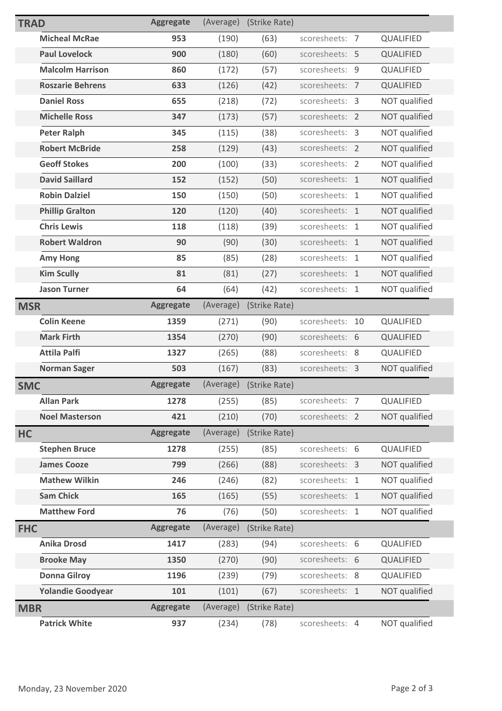| <b>TRAD</b> |                          | <b>Aggregate</b> | (Average) | (Strike Rate) |                |    |                  |
|-------------|--------------------------|------------------|-----------|---------------|----------------|----|------------------|
|             | <b>Micheal McRae</b>     | 953              | (190)     | (63)          | scoresheets: 7 |    | QUALIFIED        |
|             | <b>Paul Lovelock</b>     | 900              | (180)     | (60)          | scoresheets: 5 |    | <b>QUALIFIED</b> |
|             | <b>Malcolm Harrison</b>  | 860              | (172)     | (57)          | scoresheets: 9 |    | <b>QUALIFIED</b> |
|             | <b>Roszarie Behrens</b>  | 633              | (126)     | (42)          | scoresheets: 7 |    | QUALIFIED        |
|             | <b>Daniel Ross</b>       | 655              | (218)     | (72)          | scoresheets: 3 |    | NOT qualified    |
|             | <b>Michelle Ross</b>     | 347              | (173)     | (57)          | scoresheets: 2 |    | NOT qualified    |
|             | <b>Peter Ralph</b>       | 345              | (115)     | (38)          | scoresheets: 3 |    | NOT qualified    |
|             | <b>Robert McBride</b>    | 258              | (129)     | (43)          | scoresheets: 2 |    | NOT qualified    |
|             | <b>Geoff Stokes</b>      | 200              | (100)     | (33)          | scoresheets: 2 |    | NOT qualified    |
|             | <b>David Saillard</b>    | 152              | (152)     | (50)          | scoresheets: 1 |    | NOT qualified    |
|             | <b>Robin Dalziel</b>     | 150              | (150)     | (50)          | scoresheets: 1 |    | NOT qualified    |
|             | <b>Phillip Gralton</b>   | 120              | (120)     | (40)          | scoresheets: 1 |    | NOT qualified    |
|             | <b>Chris Lewis</b>       | 118              | (118)     | (39)          | scoresheets: 1 |    | NOT qualified    |
|             | <b>Robert Waldron</b>    | 90               | (90)      | (30)          | scoresheets: 1 |    | NOT qualified    |
|             | <b>Amy Hong</b>          | 85               | (85)      | (28)          | scoresheets: 1 |    | NOT qualified    |
|             | <b>Kim Scully</b>        | 81               | (81)      | (27)          | scoresheets: 1 |    | NOT qualified    |
|             | <b>Jason Turner</b>      | 64               | (64)      | (42)          | scoresheets: 1 |    | NOT qualified    |
| <b>MSR</b>  |                          | <b>Aggregate</b> | (Average) | (Strike Rate) |                |    |                  |
|             |                          |                  |           |               |                |    |                  |
|             | <b>Colin Keene</b>       | 1359             | (271)     | (90)          | scoresheets:   | 10 | QUALIFIED        |
|             | <b>Mark Firth</b>        | 1354             | (270)     | (90)          | scoresheets: 6 |    | QUALIFIED        |
|             | <b>Attila Palfi</b>      | 1327             | (265)     | (88)          | scoresheets: 8 |    | QUALIFIED        |
|             | <b>Norman Sager</b>      | 503              | (167)     | (83)          | scoresheets: 3 |    | NOT qualified    |
| <b>SMC</b>  |                          | <b>Aggregate</b> | (Average) | (Strike Rate) |                |    |                  |
|             | <b>Allan Park</b>        | 1278             | (255)     | (85)          | scoresheets: 7 |    | QUALIFIED        |
|             | <b>Noel Masterson</b>    | 421              | (210)     | (70)          | scoresheets: 2 |    | NOT qualified    |
| <b>HC</b>   |                          | <b>Aggregate</b> | (Average) | (Strike Rate) |                |    |                  |
|             | <b>Stephen Bruce</b>     | 1278             | (255)     | (85)          | scoresheets: 6 |    | QUALIFIED        |
|             | <b>James Cooze</b>       | 799              | (266)     | (88)          | scoresheets: 3 |    | NOT qualified    |
|             | <b>Mathew Wilkin</b>     | 246              | (246)     | (82)          | scoresheets: 1 |    | NOT qualified    |
|             | <b>Sam Chick</b>         | 165              | (165)     | (55)          | scoresheets: 1 |    | NOT qualified    |
|             | <b>Matthew Ford</b>      | 76               | (76)      | (50)          | scoresheets: 1 |    | NOT qualified    |
| <b>FHC</b>  |                          | <b>Aggregate</b> | (Average) | (Strike Rate) |                |    |                  |
|             | <b>Anika Drosd</b>       | 1417             | (283)     | (94)          | scoresheets: 6 |    | QUALIFIED        |
|             | <b>Brooke May</b>        | 1350             | (270)     | (90)          | scoresheets: 6 |    | QUALIFIED        |
|             | <b>Donna Gilroy</b>      | 1196             | (239)     | (79)          | scoresheets: 8 |    | QUALIFIED        |
|             | <b>Yolandie Goodyear</b> | 101              | (101)     | (67)          | scoresheets: 1 |    | NOT qualified    |
| <b>MBR</b>  |                          | <b>Aggregate</b> | (Average) | (Strike Rate) |                |    |                  |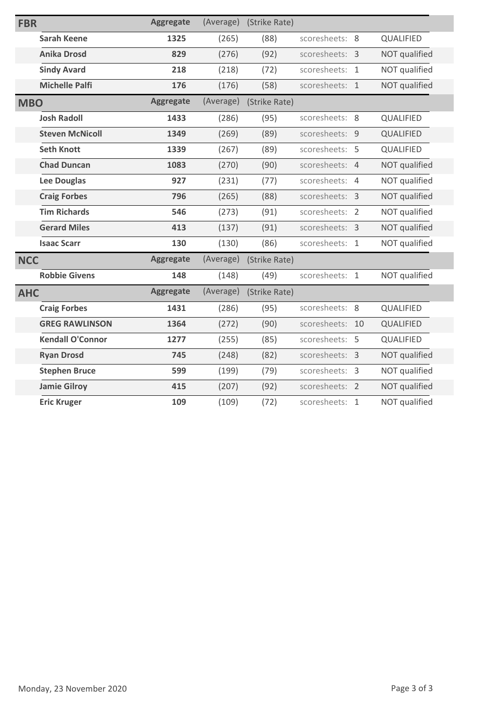| <b>FBR</b> |                         | <b>Aggregate</b> | (Average) | (Strike Rate) |                |    |               |
|------------|-------------------------|------------------|-----------|---------------|----------------|----|---------------|
|            | <b>Sarah Keene</b>      | 1325             | (265)     | (88)          | scoresheets: 8 |    | QUALIFIED     |
|            | <b>Anika Drosd</b>      | 829              | (276)     | (92)          | scoresheets: 3 |    | NOT qualified |
|            | <b>Sindy Avard</b>      | 218              | (218)     | (72)          | scoresheets: 1 |    | NOT qualified |
|            | <b>Michelle Palfi</b>   | 176              | (176)     | (58)          | scoresheets: 1 |    | NOT qualified |
| <b>MBO</b> |                         | <b>Aggregate</b> | (Average) | (Strike Rate) |                |    |               |
|            | <b>Josh Radoll</b>      | 1433             | (286)     | (95)          | scoresheets: 8 |    | QUALIFIED     |
|            | <b>Steven McNicoll</b>  | 1349             | (269)     | (89)          | scoresheets: 9 |    | QUALIFIED     |
|            | <b>Seth Knott</b>       | 1339             | (267)     | (89)          | scoresheets: 5 |    | QUALIFIED     |
|            | <b>Chad Duncan</b>      | 1083             | (270)     | (90)          | scoresheets: 4 |    | NOT qualified |
|            | <b>Lee Douglas</b>      | 927              | (231)     | (77)          | scoresheets: 4 |    | NOT qualified |
|            | <b>Craig Forbes</b>     | 796              | (265)     | (88)          | scoresheets: 3 |    | NOT qualified |
|            | <b>Tim Richards</b>     | 546              | (273)     | (91)          | scoresheets: 2 |    | NOT qualified |
|            | <b>Gerard Miles</b>     | 413              | (137)     | (91)          | scoresheets: 3 |    | NOT qualified |
|            | <b>Isaac Scarr</b>      | 130              | (130)     | (86)          | scoresheets: 1 |    | NOT qualified |
| <b>NCC</b> |                         | <b>Aggregate</b> | (Average) | (Strike Rate) |                |    |               |
|            | <b>Robbie Givens</b>    | 148              | (148)     | (49)          | scoresheets: 1 |    | NOT qualified |
| <b>AHC</b> |                         | <b>Aggregate</b> | (Average) | (Strike Rate) |                |    |               |
|            | <b>Craig Forbes</b>     | 1431             | (286)     | (95)          | scoresheets: 8 |    | QUALIFIED     |
|            | <b>GREG RAWLINSON</b>   | 1364             | (272)     | (90)          | scoresheets:   | 10 | QUALIFIED     |
|            | <b>Kendall O'Connor</b> | 1277             | (255)     | (85)          | scoresheets: 5 |    | QUALIFIED     |
|            | <b>Ryan Drosd</b>       | 745              | (248)     | (82)          | scoresheets: 3 |    | NOT qualified |
|            | <b>Stephen Bruce</b>    | 599              | (199)     | (79)          | scoresheets: 3 |    | NOT qualified |
|            | <b>Jamie Gilroy</b>     | 415              | (207)     | (92)          | scoresheets: 2 |    | NOT qualified |
|            | <b>Eric Kruger</b>      | 109              | (109)     | (72)          | scoresheets: 1 |    | NOT qualified |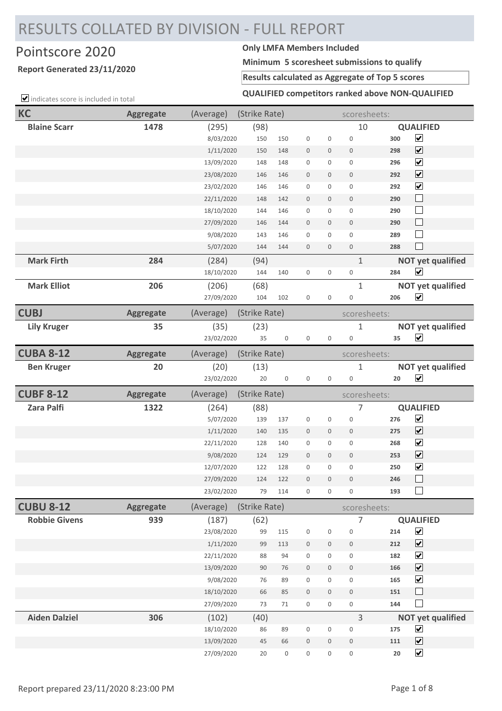# RESULTS COLLATED BY DIVISION - FULL REPORT

# Pointscore 2020 **Only LMFA Members Included**

## **Report Generated 23/11/2020**

**Minimum 5 scoresheet submissions to qualify**

### **Results calculated as Aggregate of Top 5 scores**

 $\Box$  indicates score is included in total

**QUALIFIED competitors ranked above NON-QUALIFIED**

| <b>KC</b>            | <b>Aggregate</b> | (Average)                | (Strike Rate) |                        |                  |                     | scoresheets:        |                   |                                              |
|----------------------|------------------|--------------------------|---------------|------------------------|------------------|---------------------|---------------------|-------------------|----------------------------------------------|
| <b>Blaine Scarr</b>  | 1478             | (295)                    | (98)          |                        |                  |                     | 10                  |                   | <b>QUALIFIED</b>                             |
|                      |                  | 8/03/2020                | 150           | 150                    | $\mathbf 0$      | $\mathbf 0$         | $\mathbf 0$         | 300               | $\blacktriangledown$                         |
|                      |                  | 1/11/2020                | 150           | 148                    | $\bf 0$          | $\mathbf 0$         | $\mathbf{0}$        | 298               | $\overline{\mathbf{v}}$                      |
|                      |                  | 13/09/2020               | 148           | 148                    | $\boldsymbol{0}$ | $\boldsymbol{0}$    | $\mathbf 0$         | 296               | $\blacktriangledown$                         |
|                      |                  | 23/08/2020               | 146           | 146                    | $\bf 0$          | $\mathbf 0$         | $\mathbf 0$         | 292               | $\overline{\mathbf{v}}$                      |
|                      |                  | 23/02/2020               | 146           | 146                    | $\mathbf 0$      | $\mathbf 0$         | $\mathbf 0$         | 292               | $\blacktriangledown$                         |
|                      |                  | 22/11/2020               | 148           | 142                    | $\mathbf 0$      | $\mathbf 0$         | $\mathbf 0$         | 290               | $\Box$                                       |
|                      |                  | 18/10/2020               | 144           | 146                    | $\boldsymbol{0}$ | $\boldsymbol{0}$    | $\boldsymbol{0}$    | 290               | $\Box$                                       |
|                      |                  | 27/09/2020               | 146           | 144                    | $\mathbf 0$      | $\mathbf 0$         | $\mathbf 0$         | 290               | $\Box$                                       |
|                      |                  | 9/08/2020                | 143           | 146                    | $\boldsymbol{0}$ | $\mathbf 0$         | $\mathbf 0$         | 289               | $\mathcal{L}_{\mathcal{A}}$                  |
|                      |                  | 5/07/2020                | 144           | 144                    | $\mathbf 0$      | $\mathbf 0$         | $\mathbf 0$         | 288               |                                              |
| <b>Mark Firth</b>    | 284              | (284)                    | (94)          |                        |                  |                     | $\mathbf{1}$        |                   | <b>NOT yet qualified</b>                     |
|                      |                  | 18/10/2020               | 144           | 140                    | $\mathbf 0$      | $\boldsymbol{0}$    | $\boldsymbol{0}$    | 284               | ⊻                                            |
| <b>Mark Elliot</b>   | 206              | (206)                    | (68)          |                        |                  |                     | $1\,$               |                   | <b>NOT yet qualified</b>                     |
|                      |                  | 27/09/2020               | 104           | 102                    | $\mathbf 0$      | $\boldsymbol{0}$    | $\boldsymbol{0}$    | 206               | $\blacktriangledown$                         |
| <b>CUBJ</b>          | <b>Aggregate</b> | (Average)                | (Strike Rate) |                        |                  |                     | scoresheets:        |                   |                                              |
| <b>Lily Kruger</b>   | 35               | (35)                     | (23)          |                        |                  |                     | $\mathbf 1$         |                   | <b>NOT yet qualified</b>                     |
|                      |                  | 23/02/2020               | 35            | $\boldsymbol{0}$       | $\boldsymbol{0}$ | $\mathbf 0$         | $\boldsymbol{0}$    | 35                | $\blacktriangledown$                         |
| <b>CUBA 8-12</b>     | <b>Aggregate</b> | (Average)                | (Strike Rate) |                        |                  |                     | scoresheets:        |                   |                                              |
| <b>Ben Kruger</b>    | 20               | (20)                     | (13)          |                        |                  |                     | $\mathbf 1$         |                   | <b>NOT yet qualified</b>                     |
|                      |                  | 23/02/2020               | 20            | $\mathbf 0$            | $\boldsymbol{0}$ | $\mathbf 0$         | $\boldsymbol{0}$    | 20                | $\blacktriangledown$                         |
|                      |                  |                          |               |                        |                  |                     |                     |                   |                                              |
| <b>CUBF 8-12</b>     | <b>Aggregate</b> | (Average)                | (Strike Rate) |                        |                  |                     | scoresheets:        |                   |                                              |
| <b>Zara Palfi</b>    | 1322             | (264)                    | (88)          |                        |                  |                     | $\overline{7}$      |                   | <b>QUALIFIED</b>                             |
|                      |                  | 5/07/2020                | 139           | 137                    | $\mathbf 0$      | $\mathbf 0$         | $\boldsymbol{0}$    | 276               | $\blacktriangledown$                         |
|                      |                  | 1/11/2020                | 140           | 135                    | $\mathbf 0$      | $\mathbf 0$         | $\mathbf 0$         | 275               | $\overline{\mathbf{v}}$                      |
|                      |                  | 22/11/2020               | 128           | 140                    | $\mathbf 0$      | $\mathsf{O}\xspace$ | $\boldsymbol{0}$    | 268               | $\blacktriangledown$                         |
|                      |                  | 9/08/2020                | 124           | 129                    | $\mathbf 0$      | $\mathbf 0$         | $\mathbf 0$         | 253               | $\blacktriangledown$                         |
|                      |                  | 12/07/2020               | 122           | 128                    | $\mathbf 0$      | $\boldsymbol{0}$    | $\mathbf 0$         | 250               | $\blacktriangledown$                         |
|                      |                  | 27/09/2020               | 124           | 122                    | $\overline{0}$   | $\mathbf 0$         | $\mathbf 0$         | 246               |                                              |
|                      |                  | 23/02/2020               | 79            | 114                    | 0                | $\boldsymbol{0}$    | $\boldsymbol{0}$    | 193               | H                                            |
| <b>CUBU 8-12</b>     | <b>Aggregate</b> | (Average)                | (Strike Rate) |                        |                  |                     | scoresheets:        |                   |                                              |
| <b>Robbie Givens</b> | 939              | (187)                    | (62)          |                        |                  |                     | 7                   |                   | <b>QUALIFIED</b>                             |
|                      |                  | 23/08/2020               | 99            | 115                    | $\boldsymbol{0}$ | $\boldsymbol{0}$    | $\boldsymbol{0}$    | 214               | $\blacktriangledown$                         |
|                      |                  | 1/11/2020                | 99            | 113                    | $\mathbf 0$      | $\boldsymbol{0}$    | $\,0\,$             | 212               | $\blacktriangledown$                         |
|                      |                  | 22/11/2020               | 88            | 94                     | $\boldsymbol{0}$ | $\mathbf 0$         | $\mathbf 0$         | 182               | $\blacktriangledown$                         |
|                      |                  | 13/09/2020               | 90            | 76                     | $\bf 0$          | $\mathbf 0$         | $\bf 0$             | 166               | $\blacktriangledown$                         |
|                      |                  | 9/08/2020                | 76            | 89                     | $\boldsymbol{0}$ | $\boldsymbol{0}$    | $\mathsf{O}\xspace$ | 165               | $\blacktriangledown$                         |
|                      |                  | 18/10/2020               | 66            | 85                     | $\bf 0$          | $\boldsymbol{0}$    | $\mathsf{O}\xspace$ | 151               | $\Box$                                       |
|                      |                  | 27/09/2020               | 73            | 71                     | $\boldsymbol{0}$ | $\mathbf 0$         | $\mathbf 0$         | 144               | ×                                            |
| <b>Aiden Dalziel</b> | 306              | (102)                    | (40)          |                        |                  |                     | $\overline{3}$      |                   | <b>NOT yet qualified</b>                     |
|                      |                  | 18/10/2020               | 86            | 89                     | $\boldsymbol{0}$ | $\boldsymbol{0}$    | $\bf 0$             | 175               | $\blacktriangledown$                         |
|                      |                  | 13/09/2020<br>27/09/2020 | 45<br>20      | 66<br>$\boldsymbol{0}$ | $\boldsymbol{0}$ | $\bf 0$             | $\mathbf 0$         | 111<br>${\bf 20}$ | $\blacktriangledown$<br>$\blacktriangledown$ |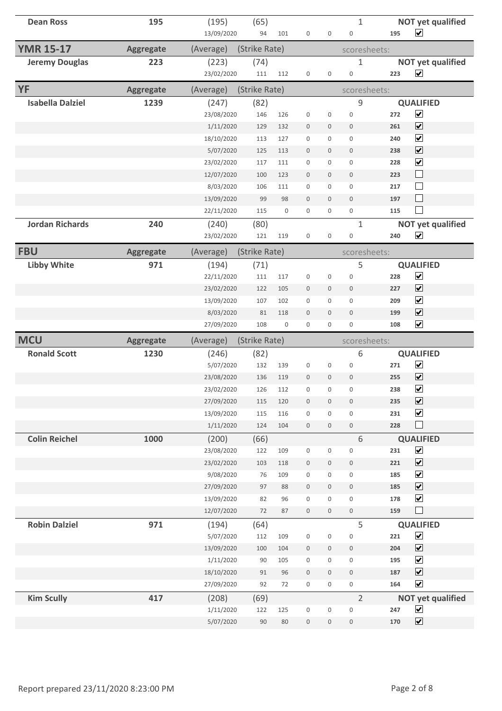| <b>Dean Ross</b>        | 195              | (195)      | (65)          |     |                  |                  | 1                |     | <b>NOT yet qualified</b> |
|-------------------------|------------------|------------|---------------|-----|------------------|------------------|------------------|-----|--------------------------|
|                         |                  | 13/09/2020 | 94            | 101 | $\mathbf 0$      | 0                | $\boldsymbol{0}$ | 195 | $\blacktriangleright$    |
| <b>YMR 15-17</b>        | <b>Aggregate</b> | (Average)  | (Strike Rate) |     |                  |                  | scoresheets:     |     |                          |
| <b>Jeremy Douglas</b>   | 223              | (223)      | (74)          |     |                  |                  | 1                |     | <b>NOT yet qualified</b> |
|                         |                  | 23/02/2020 | 111           | 112 | $\boldsymbol{0}$ | 0                | $\boldsymbol{0}$ | 223 | $\blacktriangledown$     |
| <b>YF</b>               | <b>Aggregate</b> | (Average)  | (Strike Rate) |     |                  |                  | scoresheets:     |     |                          |
| <b>Isabella Dalziel</b> | 1239             | (247)      | (82)          |     |                  |                  | 9                |     | <b>QUALIFIED</b>         |
|                         |                  | 23/08/2020 | 146           | 126 | $\boldsymbol{0}$ | $\mathsf 0$      | $\boldsymbol{0}$ | 272 | $\blacktriangledown$     |
|                         |                  | 1/11/2020  | 129           | 132 | $\mathbf 0$      | 0                | $\mathbf 0$      | 261 | $\overline{\mathbf{v}}$  |
|                         |                  | 18/10/2020 | 113           | 127 | $\mathbf 0$      | 0                | $\boldsymbol{0}$ | 240 | $\overline{\mathbf{v}}$  |
|                         |                  | 5/07/2020  | 125           | 113 | $\mathbf 0$      | $\mathbf 0$      | $\mathbf 0$      | 238 | $\blacktriangledown$     |
|                         |                  | 23/02/2020 | 117           | 111 | $\boldsymbol{0}$ | 0                | $\boldsymbol{0}$ | 228 | $\overline{\mathbf{v}}$  |
|                         |                  | 12/07/2020 | 100           | 123 | $\mathbf 0$      | $\mathbf 0$      | $\mathbf 0$      | 223 | $\Box$                   |
|                         |                  | 8/03/2020  | 106           | 111 | $\boldsymbol{0}$ | 0                | $\boldsymbol{0}$ | 217 | $\Box$                   |
|                         |                  | 13/09/2020 | 99            | 98  | $\boldsymbol{0}$ | $\mathbf 0$      | $\boldsymbol{0}$ | 197 | $\Box$                   |
|                         |                  | 22/11/2020 | 115           | 0   | $\mathbf 0$      | 0                | $\mathbf 0$      | 115 | $\Box$                   |
| <b>Jordan Richards</b>  | 240              | (240)      | (80)          |     |                  |                  | 1                |     | <b>NOT yet qualified</b> |
|                         |                  | 23/02/2020 | 121           | 119 | 0                | 0                | $\boldsymbol{0}$ | 240 | $\blacktriangledown$     |
| <b>FBU</b>              | <b>Aggregate</b> | (Average)  | (Strike Rate) |     |                  |                  | scoresheets:     |     |                          |
| <b>Libby White</b>      | 971              | (194)      | (71)          |     |                  |                  | 5                |     | <b>QUALIFIED</b>         |
|                         |                  | 22/11/2020 | 111           | 117 | $\boldsymbol{0}$ | 0                | $\boldsymbol{0}$ | 228 | $\blacktriangledown$     |
|                         |                  |            |               | 105 |                  |                  | $\mathbf 0$      | 227 | $\overline{\mathbf{v}}$  |
|                         |                  | 23/02/2020 | 122           |     | $\mathbf 0$      | 0                |                  |     | $\blacktriangledown$     |
|                         |                  | 13/09/2020 | 107           | 102 | $\mathbf 0$      | 0                | $\boldsymbol{0}$ | 209 |                          |
|                         |                  | 8/03/2020  | 81            | 118 | $\mathbf 0$      | $\mathbf 0$      | $\mathbf 0$      | 199 | $\overline{\mathbf{v}}$  |
|                         |                  | 27/09/2020 | 108           | 0   | 0                | 0                | $\mathbf 0$      | 108 | $\blacktriangledown$     |
| <b>MCU</b>              | <b>Aggregate</b> | (Average)  | (Strike Rate) |     |                  |                  | scoresheets:     |     |                          |
| <b>Ronald Scott</b>     | 1230             | (246)      | (82)          |     |                  |                  | 6                |     | <b>QUALIFIED</b>         |
|                         |                  | 5/07/2020  | 132           | 139 | $\boldsymbol{0}$ | 0                | $\boldsymbol{0}$ | 271 | $\blacktriangledown$     |
|                         |                  | 23/08/2020 | 136           | 119 | $\mathbf 0$      | $\mathbf 0$      | $\mathbf 0$      | 255 | $\overline{\mathbf{v}}$  |
|                         |                  | 23/02/2020 | 126           | 112 | $\boldsymbol{0}$ | 0                | $\boldsymbol{0}$ | 238 | $\blacktriangledown$     |
|                         |                  | 27/09/2020 | 115           | 120 | $\boldsymbol{0}$ | $\boldsymbol{0}$ | $\boldsymbol{0}$ | 235 | $\overline{\mathbf{v}}$  |
|                         |                  | 13/09/2020 | 115           | 116 | $\boldsymbol{0}$ | 0                | $\mathsf 0$      | 231 | $\overline{\mathbf{v}}$  |
|                         |                  | 1/11/2020  | 124           | 104 | $\mathbb O$      | $\boldsymbol{0}$ | $\boldsymbol{0}$ | 228 | $\Box$                   |
| <b>Colin Reichel</b>    | 1000             | (200)      | (66)          |     |                  |                  | 6                |     | <b>QUALIFIED</b>         |
|                         |                  | 23/08/2020 | 122           | 109 | $\boldsymbol{0}$ | $\boldsymbol{0}$ | $\mathbf 0$      | 231 | $\overline{\mathbf{v}}$  |
|                         |                  | 23/02/2020 | 103           | 118 | $\boldsymbol{0}$ | $\boldsymbol{0}$ | $\boldsymbol{0}$ | 221 | $\blacktriangledown$     |
|                         |                  | 9/08/2020  | 76            | 109 | $\boldsymbol{0}$ | 0                | $\boldsymbol{0}$ | 185 | $\blacktriangledown$     |
|                         |                  | 27/09/2020 | 97            | 88  | $\boldsymbol{0}$ | 0                | $\,0\,$          | 185 | $\overline{\mathbf{v}}$  |
|                         |                  | 13/09/2020 | 82            | 96  | $\mathbf 0$      | 0                | $\mathbf 0$      | 178 | $\blacktriangledown$     |
|                         |                  | 12/07/2020 | 72            | 87  | $\mathbf 0$      | $\mathbf 0$      | $\boldsymbol{0}$ | 159 | $\Box$                   |
| <b>Robin Dalziel</b>    | 971              | (194)      | (64)          |     |                  |                  | 5                |     | <b>QUALIFIED</b>         |
|                         |                  | 5/07/2020  | 112           | 109 | $\boldsymbol{0}$ | 0                | $\boldsymbol{0}$ | 221 | $\blacktriangledown$     |
|                         |                  | 13/09/2020 | 100           | 104 | $\boldsymbol{0}$ | $\boldsymbol{0}$ | $\boldsymbol{0}$ | 204 | $\blacktriangledown$     |
|                         |                  | 1/11/2020  | 90            | 105 | $\boldsymbol{0}$ | 0                | 0                | 195 | $\blacktriangledown$     |
|                         |                  | 18/10/2020 | 91            | 96  | $\mathbb O$      | $\mathbf 0$      | $\mathbf 0$      | 187 | $\blacktriangledown$     |
|                         |                  | 27/09/2020 | 92            | 72  | $\boldsymbol{0}$ | 0                | $\boldsymbol{0}$ | 164 | $\blacktriangledown$     |
| <b>Kim Scully</b>       | 417              | (208)      | (69)          |     |                  |                  | $\overline{2}$   |     | <b>NOT yet qualified</b> |
|                         |                  | 1/11/2020  | 122           | 125 | 0                | 0                | $\boldsymbol{0}$ | 247 | $\blacktriangledown$     |
|                         |                  | 5/07/2020  | 90            | 80  | $\boldsymbol{0}$ | $\boldsymbol{0}$ | $\boldsymbol{0}$ | 170 | $\blacktriangledown$     |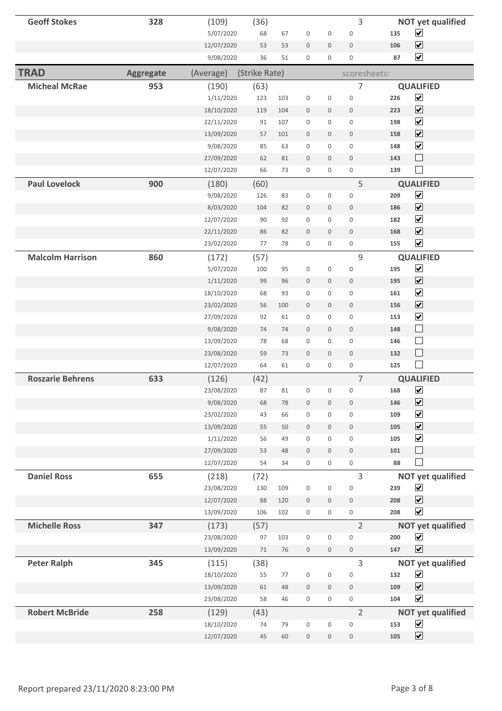| <b>Geoff Stokes</b>     | 328       | (109)                    | (36)          |          |                  |                     | 3                |            | <b>NOT yet qualified</b>     |
|-------------------------|-----------|--------------------------|---------------|----------|------------------|---------------------|------------------|------------|------------------------------|
|                         |           | 5/07/2020                | 68            | 67       | $\boldsymbol{0}$ | $\boldsymbol{0}$    | $\boldsymbol{0}$ | 135        | $\blacktriangledown$         |
|                         |           | 12/07/2020               | 53            | 53       | $\boldsymbol{0}$ | $\mathbf 0$         | $\boldsymbol{0}$ | 106        | $\overline{\mathbf{v}}$      |
|                         |           | 9/08/2020                | 36            | 51       | $\boldsymbol{0}$ | $\boldsymbol{0}$    | $\boldsymbol{0}$ | 87         | $\overline{\mathbf{v}}$      |
| <b>TRAD</b>             | Aggregate | (Average)                | (Strike Rate) |          |                  |                     | scoresheets:     |            |                              |
| <b>Micheal McRae</b>    | 953       | (190)                    | (63)          |          |                  |                     | 7                |            | <b>QUALIFIED</b>             |
|                         |           | 1/11/2020                | 123           | 103      | $\boldsymbol{0}$ | $\boldsymbol{0}$    | $\boldsymbol{0}$ | 226        | $\overline{\mathbf{v}}$      |
|                         |           | 18/10/2020               | 119           | 104      | $\boldsymbol{0}$ | $\mathbf 0$         | $\boldsymbol{0}$ | 223        | $\boxed{\blacktriangledown}$ |
|                         |           | 22/11/2020               | 91            | 107      | $\boldsymbol{0}$ | 0                   | $\boldsymbol{0}$ | 198        | $\overline{\mathbf{v}}$      |
|                         |           | 13/09/2020               | 57            | 101      | $\boldsymbol{0}$ | $\mathbf 0$         | $\boldsymbol{0}$ | 158        | $\overline{\mathbf{v}}$      |
|                         |           | 9/08/2020                | 85            | 63       | $\boldsymbol{0}$ | $\mathsf 0$         | $\boldsymbol{0}$ | 148        | $\overline{\mathbf{v}}$      |
|                         |           | 27/09/2020               | 62            | 81       | $\boldsymbol{0}$ | $\mathbf 0$         | $\boldsymbol{0}$ | 143        | $\Box$                       |
|                         |           | 12/07/2020               | 66            | 73       | $\boldsymbol{0}$ | $\boldsymbol{0}$    | $\boldsymbol{0}$ | 139        | $\Box$                       |
| <b>Paul Lovelock</b>    | 900       | (180)                    | (60)          |          |                  |                     | 5                |            | <b>QUALIFIED</b>             |
|                         |           | 9/08/2020                | 126           | 83       | $\boldsymbol{0}$ | 0                   | $\boldsymbol{0}$ | 209        | $\overline{\mathbf{v}}$      |
|                         |           | 8/03/2020                | 104           | 82       | $\boldsymbol{0}$ | $\mathbf 0$         | $\boldsymbol{0}$ | 186        | $\overline{\mathbf{v}}$      |
|                         |           | 12/07/2020               | 90            | 92       | $\boldsymbol{0}$ | $\mathbf 0$         | $\boldsymbol{0}$ | 182        | $\overline{\mathbf{v}}$      |
|                         |           | 22/11/2020               | 86            | 82       | $\boldsymbol{0}$ | $\mathbf 0$         | $\mathbf 0$      | 168        | $\blacktriangledown$         |
|                         |           | 23/02/2020               | 77            | 78       | $\boldsymbol{0}$ | $\mathbf 0$         | $\boldsymbol{0}$ | 155        | $\overline{\mathbf{v}}$      |
| <b>Malcolm Harrison</b> | 860       | (172)                    | (57)          |          |                  |                     | 9                |            | <b>QUALIFIED</b>             |
|                         |           | 5/07/2020                | 100           | 95       | $\boldsymbol{0}$ | $\boldsymbol{0}$    | $\boldsymbol{0}$ | 195        | $\overline{\mathbf{v}}$      |
|                         |           | 1/11/2020                | 99            | 96       | $\boldsymbol{0}$ | $\mathbf 0$         | $\boldsymbol{0}$ | 195        | $\boxed{\blacktriangledown}$ |
|                         |           | 18/10/2020               | 68            | 93       | $\boldsymbol{0}$ | 0                   | $\boldsymbol{0}$ | 161        | $\blacktriangledown$         |
|                         |           | 23/02/2020               | 56            | 100      | $\boldsymbol{0}$ | $\mathbf 0$         | $\boldsymbol{0}$ | 156        | $\overline{\mathbf{v}}$      |
|                         |           | 27/09/2020               | 92            | 61       | $\boldsymbol{0}$ | 0                   | $\boldsymbol{0}$ | 153        | $\overline{\mathbf{v}}$      |
|                         |           |                          | 74            | 74       | $\boldsymbol{0}$ | $\mathbf 0$         | $\boldsymbol{0}$ | 148        | $\Box$                       |
|                         |           | 9/08/2020                | 78            | 68       | $\boldsymbol{0}$ | $\mathbf 0$         | $\boldsymbol{0}$ | 146        | $\Box$                       |
|                         |           | 13/09/2020               | 59            |          |                  | $\mathbf 0$         | $\mathbf 0$      |            | $\Box$                       |
|                         |           | 23/08/2020<br>12/07/2020 | 64            | 73<br>61 | $\boldsymbol{0}$ |                     |                  | 132<br>125 | $\Box$                       |
|                         |           |                          |               |          | $\boldsymbol{0}$ | $\boldsymbol{0}$    | $\boldsymbol{0}$ |            |                              |
| <b>Roszarie Behrens</b> | 633       | (126)                    | (42)          |          |                  |                     | $\overline{7}$   |            | <b>QUALIFIED</b>             |
|                         |           | 23/08/2020               | 87            | 81       | 0                | 0                   | $\boldsymbol{0}$ | 168        | $\blacktriangledown$         |
|                         |           | 9/08/2020                | 68            | 78       | $\boldsymbol{0}$ | $\mathbf 0$         | $\mathbf 0$      | 146        | $\overline{\mathbf{v}}$      |
|                         |           | 23/02/2020               | 43            | 66       | $\boldsymbol{0}$ | 0                   | $\boldsymbol{0}$ | 109        | $\blacktriangledown$         |
|                         |           | 13/09/2020               | 55            | 50       | $\boldsymbol{0}$ | $\mathbf 0$         | $\boldsymbol{0}$ | 105        | $\overline{\mathbf{v}}$      |
|                         |           | 1/11/2020                | 56            | 49       | $\boldsymbol{0}$ | $\mathsf{O}\xspace$ | $\boldsymbol{0}$ | 105        | $\overline{\mathbf{v}}$      |
|                         |           | 27/09/2020               | 53            | 48       | $\boldsymbol{0}$ | $\boldsymbol{0}$    | $\boldsymbol{0}$ | 101        | $\Box$                       |
|                         |           | 12/07/2020               | 54            | 34       | $\boldsymbol{0}$ | $\mathsf{O}\xspace$ | $\boldsymbol{0}$ | 88         | $\vert \ \ \vert$            |
| <b>Daniel Ross</b>      | 655       | (218)                    | (72)          |          |                  |                     | 3                |            | <b>NOT yet qualified</b>     |
|                         |           | 23/08/2020               | 130           | 109      | $\boldsymbol{0}$ | $\boldsymbol{0}$    | $\boldsymbol{0}$ | 239        | $\blacktriangledown$         |
|                         |           | 12/07/2020               | 88            | 120      | $\boldsymbol{0}$ | $\mathbf 0$         | $\boldsymbol{0}$ | 208        | $\blacktriangledown$         |
|                         |           | 13/09/2020               | 106           | 102      | $\boldsymbol{0}$ | $\mathsf{O}\xspace$ | $\boldsymbol{0}$ | 208        | $\overline{\mathbf{v}}$      |
| <b>Michelle Ross</b>    | 347       | (173)                    | (57)          |          |                  |                     | $\overline{2}$   |            | <b>NOT yet qualified</b>     |
|                         |           | 23/08/2020               | 97            | 103      | $\boldsymbol{0}$ | $\mathsf{O}\xspace$ | $\boldsymbol{0}$ | 200        | $\blacktriangledown$         |
|                         |           | 13/09/2020               | 71            | 76       | $\boldsymbol{0}$ | $\mathbf 0$         | $\boldsymbol{0}$ | 147        | $\overline{\mathbf{v}}$      |
| <b>Peter Ralph</b>      | 345       | (115)                    | (38)          |          |                  |                     | 3                |            | <b>NOT yet qualified</b>     |
|                         |           | 18/10/2020               | 55            | 77       | $\boldsymbol{0}$ | $\boldsymbol{0}$    | $\boldsymbol{0}$ | 132        | $\blacktriangledown$         |
|                         |           | 13/09/2020               | 61            | $48\,$   | $\boldsymbol{0}$ | $\boldsymbol{0}$    | $\boldsymbol{0}$ | 109        | $\blacktriangledown$         |
|                         |           | 23/08/2020               | 58            | 46       | $\boldsymbol{0}$ | $\mathbf 0$         | $\boldsymbol{0}$ | 104        | $\blacktriangledown$         |
| <b>Robert McBride</b>   | 258       | (129)                    | (43)          |          |                  |                     | $\overline{2}$   |            | <b>NOT yet qualified</b>     |
|                         |           | 18/10/2020               | 74            | 79       | $\boldsymbol{0}$ | $\mathbf 0$         | $\boldsymbol{0}$ | 153        | $\blacktriangledown$         |
|                         |           | 12/07/2020               | $45\,$        | 60       | $\boldsymbol{0}$ | $\boldsymbol{0}$    | $\,0\,$          | 105        | $\blacktriangledown$         |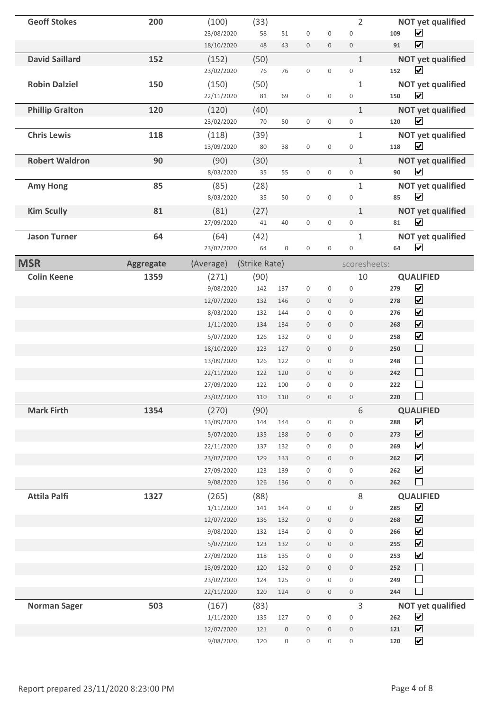| <b>Geoff Stokes</b>    | 200              | (100)                    | (33)          |                  |                             |                                 | $\overline{2}$                             | <b>NOT yet qualified</b>                                |
|------------------------|------------------|--------------------------|---------------|------------------|-----------------------------|---------------------------------|--------------------------------------------|---------------------------------------------------------|
|                        |                  | 23/08/2020               | 58            | 51               | $\boldsymbol{0}$            | $\boldsymbol{0}$                | $\mathbf 0$                                | $\blacktriangledown$<br>109                             |
|                        |                  | 18/10/2020               | 48            | 43               | $\bf 0$                     | $\boldsymbol{0}$                | $\boldsymbol{0}$                           | $\blacktriangledown$<br>91                              |
| <b>David Saillard</b>  | 152              | (152)                    | (50)          |                  |                             |                                 | $1\,$                                      | <b>NOT yet qualified</b>                                |
|                        |                  | 23/02/2020               | 76            | 76               | $\boldsymbol{0}$            | $\mathsf{O}\xspace$             | $\mathsf{O}\xspace$                        | $\blacktriangledown$<br>152                             |
| <b>Robin Dalziel</b>   | 150              | (150)                    | (50)          |                  |                             |                                 | $\mathbf{1}$                               | <b>NOT yet qualified</b>                                |
|                        |                  | 22/11/2020               | 81            | 69               | $\boldsymbol{0}$            | $\boldsymbol{0}$                | $\boldsymbol{0}$                           | $\blacktriangledown$<br>150                             |
| <b>Phillip Gralton</b> | 120              | (120)                    | (40)          |                  |                             |                                 | $\mathbf{1}$                               | <b>NOT yet qualified</b>                                |
|                        |                  | 23/02/2020               | 70            | 50               | $\boldsymbol{0}$            | $\boldsymbol{0}$                | $\mathsf{O}\xspace$                        | $\overline{\mathbf{v}}$<br>120                          |
| <b>Chris Lewis</b>     | 118              | (118)                    | (39)          |                  |                             |                                 | $\mathbf{1}$                               | <b>NOT yet qualified</b>                                |
|                        |                  | 13/09/2020               | 80            | 38               | $\boldsymbol{0}$            | $\boldsymbol{0}$                | $\boldsymbol{0}$                           | $\overline{\mathbf{v}}$<br>118                          |
| <b>Robert Waldron</b>  | 90               | (90)                     | (30)          |                  |                             |                                 | $\mathbf{1}$                               | <b>NOT yet qualified</b>                                |
|                        |                  | 8/03/2020                | 35            | 55               | $\boldsymbol{0}$            | $\mathsf{O}\xspace$             | $\boldsymbol{0}$                           | $\overline{\mathbf{v}}$<br>90                           |
| <b>Amy Hong</b>        | 85               | (85)                     | (28)          |                  |                             |                                 | $\mathbf{1}$                               | <b>NOT yet qualified</b>                                |
|                        |                  | 8/03/2020                | 35            | 50               | $\boldsymbol{0}$            | $\boldsymbol{0}$                | $\boldsymbol{0}$                           | $\blacktriangledown$<br>85                              |
| <b>Kim Scully</b>      | 81               | (81)                     | (27)          |                  |                             |                                 | $\mathbf{1}$                               | <b>NOT yet qualified</b>                                |
|                        |                  | 27/09/2020               | 41            | 40               | $\boldsymbol{0}$            | $\mathsf{O}\xspace$             | $\boldsymbol{0}$                           | $\overline{\mathbf{v}}$<br>81                           |
| <b>Jason Turner</b>    | 64               | (64)                     | (42)          |                  |                             |                                 | $\mathbf{1}$                               | <b>NOT yet qualified</b>                                |
|                        |                  | 23/02/2020               | 64            | $\boldsymbol{0}$ | $\boldsymbol{0}$            | $\boldsymbol{0}$                | $\boldsymbol{0}$                           | $\overline{\mathbf{v}}$<br>64                           |
| <b>MSR</b>             | <b>Aggregate</b> | (Average)                | (Strike Rate) |                  |                             |                                 | scoresheets:                               |                                                         |
| <b>Colin Keene</b>     | 1359             | (271)                    | (90)          |                  |                             |                                 | 10                                         | <b>QUALIFIED</b>                                        |
|                        |                  | 9/08/2020                | 142           | 137              | $\boldsymbol{0}$            | $\boldsymbol{0}$                | $\boldsymbol{0}$                           | $\blacktriangledown$<br>279                             |
|                        |                  | 12/07/2020               | 132           | 146              | $\bf 0$                     | $\boldsymbol{0}$                | $\mathsf{O}\xspace$                        | $\blacktriangledown$<br>278                             |
|                        |                  | 8/03/2020                | 132           | 144              | $\mathbf 0$                 | $\boldsymbol{0}$                | $\boldsymbol{0}$                           | $\blacktriangledown$<br>276                             |
|                        |                  | 1/11/2020                | 134           | 134              | $\boldsymbol{0}$            | $\mathbf 0$                     | $\mathbf 0$                                | $\overline{\mathbf{v}}$<br>268                          |
|                        |                  | 5/07/2020                | 126           | 132              | 0                           | $\boldsymbol{0}$                | $\mathbf 0$                                | $\blacktriangleright$<br>258                            |
|                        |                  | 18/10/2020               | 123           | 127              | $\boldsymbol{0}$            | $\mathbf 0$                     | $\boldsymbol{0}$                           | $\Box$<br>250                                           |
|                        |                  | 13/09/2020               | 126           | 122              | $\mathbf 0$                 | $\boldsymbol{0}$                | $\mathbf 0$                                | $\Box$<br>248                                           |
|                        |                  | 22/11/2020               | 122           | 120              | $\boldsymbol{0}$            | $\mathbf 0$                     | $\mathbf 0$                                | $\Box$<br>242                                           |
|                        |                  | 27/09/2020               | 122           | 100              | $\boldsymbol{0}$            | $\boldsymbol{0}$                | $\mathsf 0$                                | $\Box$<br>222                                           |
|                        |                  | 23/02/2020               | 110           | 110              | $\boldsymbol{0}$            | $\boldsymbol{0}$                | $\mathsf{O}\xspace$                        | $\Box$<br>220                                           |
| <b>Mark Firth</b>      | 1354             | (270)                    | (90)          |                  |                             |                                 | $6\,$                                      | <b>QUALIFIED</b>                                        |
|                        |                  | 13/09/2020               | 144           | 144              | $\boldsymbol{0}$            | $\boldsymbol{0}$                | $\boldsymbol{0}$                           | $\blacktriangledown$<br>288                             |
|                        |                  | 5/07/2020                | 135           | 138              | $\boldsymbol{0}$            | $\boldsymbol{0}$                | $\boldsymbol{0}$                           | $\blacktriangledown$<br>273                             |
|                        |                  | 22/11/2020               | 137           | 132              | $\boldsymbol{0}$            | $\mathbf 0$                     | $\mathsf{O}\xspace$                        | $\blacktriangledown$<br>269                             |
|                        |                  | 23/02/2020               | 129           | 133              | $\boldsymbol{0}$            | $\mathbf 0$                     | $\boldsymbol{0}$                           | $\blacktriangledown$<br>262                             |
|                        |                  | 27/09/2020               | 123           | 139              | $\boldsymbol{0}$            | $\boldsymbol{0}$                | $\boldsymbol{0}$                           | $\blacktriangledown$<br>262                             |
|                        |                  | 9/08/2020                | 126           | 136              | $\boldsymbol{0}$            | $\boldsymbol{0}$                | $\mathsf{O}\xspace$                        | $\Box$<br>262                                           |
| <b>Attila Palfi</b>    | 1327             | (265)                    | (88)          |                  |                             |                                 | 8                                          | <b>QUALIFIED</b>                                        |
|                        |                  | 1/11/2020                | 141           | 144              | $\boldsymbol{0}$            | $\boldsymbol{0}$                | $\boldsymbol{0}$                           | $\blacktriangledown$<br>285                             |
|                        |                  | 12/07/2020               | 136           | 132              | $\boldsymbol{0}$            | $\mathbb O$                     | $\boldsymbol{0}$                           | $\blacktriangledown$<br>268                             |
|                        |                  | 9/08/2020                | 132           | 134              | $\boldsymbol{0}$            | $\mathsf{O}\xspace$             | $\mathsf{O}\xspace$                        | $\blacktriangledown$<br>266                             |
|                        |                  | 5/07/2020                | 123           | 132              | $\boldsymbol{0}$            | $\boldsymbol{0}$                | $\mathsf{O}\xspace$                        | $\overline{\mathbf{v}}$<br>255                          |
|                        |                  | 27/09/2020               | 118           | 135              | $\boldsymbol{0}$            | $\boldsymbol{0}$                | $\boldsymbol{0}$                           | $\blacktriangledown$<br>253                             |
|                        |                  | 13/09/2020               | 120<br>124    | 132<br>125       | $\bf 0$                     | $\mathbf 0$                     | $\mathsf{O}\xspace$<br>$\mathsf{O}\xspace$ | $\Box$<br>252<br>$\Box$<br>249                          |
|                        |                  | 23/02/2020<br>22/11/2020 | 120           | 124              | $\,0\,$<br>$\boldsymbol{0}$ | $\boldsymbol{0}$<br>$\mathbf 0$ | $\boldsymbol{0}$                           | $\Box$<br>244                                           |
|                        |                  |                          |               |                  |                             |                                 |                                            |                                                         |
| <b>Norman Sager</b>    | 503              | (167)                    | (83)          | 127              | $\boldsymbol{0}$            | $\boldsymbol{0}$                | $\overline{3}$<br>$\boldsymbol{0}$         | <b>NOT yet qualified</b><br>$\blacktriangledown$<br>262 |
|                        |                  | 1/11/2020<br>12/07/2020  | 135<br>121    | $\,0\,$          | $\boldsymbol{0}$            | $\boldsymbol{0}$                | $\mathsf{O}\xspace$                        | $\overline{\mathbf{v}}$<br>121                          |
|                        |                  | 9/08/2020                | 120           | $\boldsymbol{0}$ | $\boldsymbol{0}$            | $\boldsymbol{0}$                | $\boldsymbol{0}$                           | $\blacktriangledown$<br>120                             |
|                        |                  |                          |               |                  |                             |                                 |                                            |                                                         |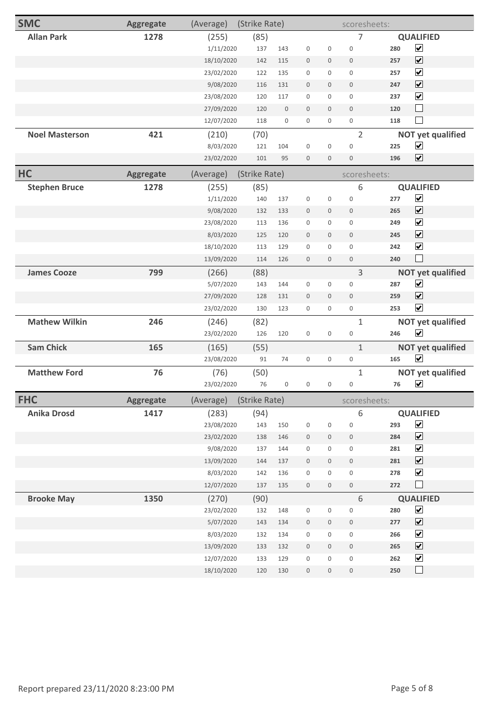| <b>SMC</b>            | <b>Aggregate</b> | (Average)  | (Strike Rate) |                  |                  |                  | scoresheets:        |                                        |
|-----------------------|------------------|------------|---------------|------------------|------------------|------------------|---------------------|----------------------------------------|
| <b>Allan Park</b>     | 1278             | (255)      | (85)          |                  |                  |                  | $\overline{7}$      | <b>QUALIFIED</b>                       |
|                       |                  | 1/11/2020  | 137           | 143              | $\boldsymbol{0}$ | $\boldsymbol{0}$ | $\mathbf 0$         | $\blacktriangledown$<br>280            |
|                       |                  | 18/10/2020 | 142           | 115              | $\boldsymbol{0}$ | $\boldsymbol{0}$ | $\boldsymbol{0}$    | $\overline{\mathbf{v}}$<br>257         |
|                       |                  | 23/02/2020 | 122           | 135              | $\boldsymbol{0}$ | $\boldsymbol{0}$ | $\mathbf 0$         | $\blacktriangledown$<br>257            |
|                       |                  | 9/08/2020  | 116           | 131              | $\boldsymbol{0}$ | $\mathbf 0$      | $\boldsymbol{0}$    | $\overline{\mathbf{v}}$<br>247         |
|                       |                  | 23/08/2020 | 120           | 117              | $\boldsymbol{0}$ | $\mathbf{0}$     | $\boldsymbol{0}$    | $\overline{\mathbf{v}}$<br>237         |
|                       |                  | 27/09/2020 | 120           | $\boldsymbol{0}$ | $\boldsymbol{0}$ | $\mathbf 0$      | $\boldsymbol{0}$    | $\Box$<br>120                          |
|                       |                  | 12/07/2020 | 118           | $\boldsymbol{0}$ | $\mathbf 0$      | $\mathbf 0$      | $\mathsf{O}\xspace$ | $\sim$<br>118                          |
| <b>Noel Masterson</b> | 421              | (210)      | (70)          |                  |                  |                  | $\overline{2}$      | <b>NOT yet qualified</b>               |
|                       |                  | 8/03/2020  | 121           | 104              | $\boldsymbol{0}$ | $\boldsymbol{0}$ | $\boldsymbol{0}$    | $\blacktriangledown$<br>225            |
|                       |                  | 23/02/2020 | 101           | 95               | $\boldsymbol{0}$ | $\boldsymbol{0}$ | $\boldsymbol{0}$    | $\blacktriangledown$<br>196            |
| HC                    | <b>Aggregate</b> | (Average)  | (Strike Rate) |                  |                  |                  | scoresheets:        |                                        |
| <b>Stephen Bruce</b>  | 1278             | (255)      | (85)          |                  |                  |                  | 6                   | <b>QUALIFIED</b>                       |
|                       |                  | 1/11/2020  | 140           | 137              | $\boldsymbol{0}$ | $\boldsymbol{0}$ | $\boldsymbol{0}$    | $\blacktriangledown$<br>277            |
|                       |                  | 9/08/2020  | 132           | 133              | $\mathbf 0$      | $\mathbf 0$      | $\mathbf 0$         | $\overline{\blacktriangledown}$<br>265 |
|                       |                  | 23/08/2020 | 113           | 136              | $\boldsymbol{0}$ | $\mathbf{0}$     | $\mathbf{0}$        | $\blacktriangledown$<br>249            |
|                       |                  | 8/03/2020  | 125           | 120              | $\boldsymbol{0}$ | $\mathbf 0$      | $\mathbf 0$         | $\overline{\mathbf{v}}$<br>245         |
|                       |                  | 18/10/2020 | 113           | 129              | $\boldsymbol{0}$ | $\boldsymbol{0}$ | $\boldsymbol{0}$    | $\blacktriangledown$<br>242            |
|                       |                  | 13/09/2020 | 114           | 126              | $\boldsymbol{0}$ | $\mathbf 0$      | $\boldsymbol{0}$    | $\mathbf{L}$<br>240                    |
| <b>James Cooze</b>    | 799              | (266)      | (88)          |                  |                  |                  | 3                   | <b>NOT yet qualified</b>               |
|                       |                  | 5/07/2020  | 143           | 144              | $\boldsymbol{0}$ | $\boldsymbol{0}$ | $\boldsymbol{0}$    | $\blacktriangledown$<br>287            |
|                       |                  | 27/09/2020 | 128           | 131              | $\boldsymbol{0}$ | $\mathbf 0$      | $\boldsymbol{0}$    | $\overline{\mathbf{v}}$<br>259         |
|                       |                  | 23/02/2020 | 130           | 123              | $\boldsymbol{0}$ | $\mathbf 0$      | $\mathsf{O}\xspace$ | $\blacktriangledown$<br>253            |
| <b>Mathew Wilkin</b>  | 246              | (246)      | (82)          |                  |                  |                  | $\mathbf{1}$        | <b>NOT yet qualified</b>               |
|                       |                  | 23/02/2020 | 126           | 120              | $\boldsymbol{0}$ | $\boldsymbol{0}$ | $\boldsymbol{0}$    | $\overline{\mathbf{v}}$<br>246         |
| <b>Sam Chick</b>      | 165              | (165)      | (55)          |                  |                  |                  | $\mathbf{1}$        | <b>NOT yet qualified</b>               |
|                       |                  | 23/08/2020 | 91            | 74               | $\boldsymbol{0}$ | $\boldsymbol{0}$ | $\boldsymbol{0}$    | $\blacktriangledown$<br>165            |
| <b>Matthew Ford</b>   | 76               | (76)       | (50)          |                  |                  |                  | $\mathbf{1}$        | <b>NOT yet qualified</b>               |
|                       |                  | 23/02/2020 | 76            | $\boldsymbol{0}$ | $\boldsymbol{0}$ | $\boldsymbol{0}$ | $\boldsymbol{0}$    | $\blacktriangledown$<br>76             |
| <b>FHC</b>            | <b>Aggregate</b> | (Average)  | (Strike Rate) |                  |                  |                  | scoresheets:        |                                        |
| <b>Anika Drosd</b>    | 1417             | (283)      | (94)          |                  |                  |                  | 6                   | <b>QUALIFIED</b>                       |
|                       |                  | 23/08/2020 | 143           | 150              | $\boldsymbol{0}$ | $\boldsymbol{0}$ | $\boldsymbol{0}$    | $\blacktriangledown$<br>293            |
|                       |                  | 23/02/2020 | 138           | 146              | $\boldsymbol{0}$ | $\boldsymbol{0}$ | $\,0\,$             | $\blacktriangledown$<br>284            |
|                       |                  | 9/08/2020  | 137           | 144              | $\boldsymbol{0}$ | $\boldsymbol{0}$ | $\boldsymbol{0}$    | $\overline{\mathbf{v}}$<br>281         |
|                       |                  | 13/09/2020 | 144           | 137              | $\boldsymbol{0}$ | $\boldsymbol{0}$ | $\boldsymbol{0}$    | $\overline{\mathbf{v}}$<br>281         |
|                       |                  | 8/03/2020  | 142           | 136              | $\boldsymbol{0}$ | $\boldsymbol{0}$ | $\,0\,$             | $\blacktriangledown$<br>278            |
|                       |                  | 12/07/2020 | 137           | 135              | $\boldsymbol{0}$ | $\boldsymbol{0}$ | $\boldsymbol{0}$    | $\Box$<br>272                          |
| <b>Brooke May</b>     | 1350             | (270)      | (90)          |                  |                  |                  | $\sqrt{6}$          | <b>QUALIFIED</b>                       |
|                       |                  | 23/02/2020 | 132           | 148              | $\boldsymbol{0}$ | $\boldsymbol{0}$ | $\boldsymbol{0}$    | $\blacktriangledown$<br>280            |
|                       |                  | 5/07/2020  | 143           | 134              | $\boldsymbol{0}$ | $\boldsymbol{0}$ | $\boldsymbol{0}$    | $\blacktriangledown$<br>277            |
|                       |                  | 8/03/2020  | 132           | 134              | $\boldsymbol{0}$ | $\boldsymbol{0}$ | $\boldsymbol{0}$    | $\blacktriangledown$<br>266            |
|                       |                  | 13/09/2020 | 133           | 132              | $\boldsymbol{0}$ | $\boldsymbol{0}$ | $\boldsymbol{0}$    | $\overline{\mathbf{v}}$<br>265         |
|                       |                  | 12/07/2020 | 133           | 129              | $\boldsymbol{0}$ | $\boldsymbol{0}$ | $\boldsymbol{0}$    | $\blacktriangledown$<br>262            |
|                       |                  | 18/10/2020 | 120           | 130              | $\boldsymbol{0}$ | $\boldsymbol{0}$ | $\boldsymbol{0}$    | $\Box$<br>250                          |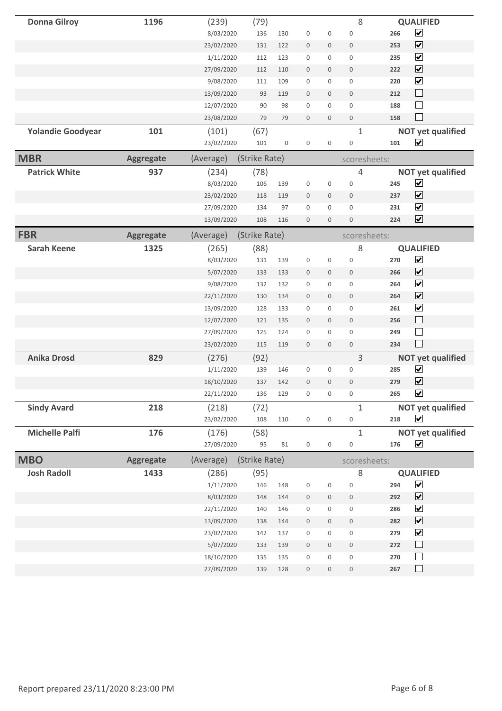| <b>Donna Gilroy</b>      | 1196             | (239)      | (79)          |                  |                  |                  | 8                |     | <b>QUALIFIED</b>         |
|--------------------------|------------------|------------|---------------|------------------|------------------|------------------|------------------|-----|--------------------------|
|                          |                  | 8/03/2020  | 136           | 130              | $\boldsymbol{0}$ | $\boldsymbol{0}$ | $\boldsymbol{0}$ | 266 | $\blacktriangledown$     |
|                          |                  | 23/02/2020 | 131           | 122              | $\boldsymbol{0}$ | $\mathbf 0$      | $\mathbf 0$      | 253 | $\blacktriangledown$     |
|                          |                  | 1/11/2020  | 112           | 123              | $\boldsymbol{0}$ | $\mathbf 0$      | $\mathbf 0$      | 235 | $\overline{\mathbf{v}}$  |
|                          |                  | 27/09/2020 | 112           | 110              | $\boldsymbol{0}$ | $\mathbf 0$      | $\mathbf 0$      | 222 | $\blacktriangledown$     |
|                          |                  | 9/08/2020  | 111           | 109              | $\boldsymbol{0}$ | 0                | $\boldsymbol{0}$ | 220 | $\blacktriangledown$     |
|                          |                  | 13/09/2020 | 93            | 119              | $\boldsymbol{0}$ | $\boldsymbol{0}$ | $\boldsymbol{0}$ | 212 | $\Box$                   |
|                          |                  | 12/07/2020 | 90            | 98               | $\boldsymbol{0}$ | $\mathbf{0}$     | $\boldsymbol{0}$ | 188 | $\Box$                   |
|                          |                  | 23/08/2020 | 79            | 79               | $\boldsymbol{0}$ | $\mathbf 0$      | $\boldsymbol{0}$ | 158 | $\Box$                   |
| <b>Yolandie Goodyear</b> | 101              | (101)      | (67)          |                  |                  |                  | $\mathbf{1}$     |     | <b>NOT yet qualified</b> |
|                          |                  | 23/02/2020 | 101           | $\boldsymbol{0}$ | $\boldsymbol{0}$ | $\boldsymbol{0}$ | $\boldsymbol{0}$ | 101 | $\blacktriangledown$     |
|                          |                  |            |               |                  |                  |                  |                  |     |                          |
| <b>MBR</b>               | <b>Aggregate</b> | (Average)  | (Strike Rate) |                  |                  |                  | scoresheets:     |     |                          |
| <b>Patrick White</b>     | 937              | (234)      | (78)          |                  |                  |                  | 4                |     | <b>NOT yet qualified</b> |
|                          |                  | 8/03/2020  | 106           | 139              | $\boldsymbol{0}$ | $\boldsymbol{0}$ | $\mathbf 0$      | 245 | $\blacktriangledown$     |
|                          |                  | 23/02/2020 | 118           | 119              | $\boldsymbol{0}$ | $\boldsymbol{0}$ | $\boldsymbol{0}$ | 237 | $\overline{\mathbf{v}}$  |
|                          |                  | 27/09/2020 | 134           | 97               | $\boldsymbol{0}$ | 0                | $\boldsymbol{0}$ | 231 | $\blacktriangledown$     |
|                          |                  | 13/09/2020 | 108           | 116              | $\mathbf 0$      | $\boldsymbol{0}$ | $\mathbf{0}$     | 224 | $\overline{\mathbf{v}}$  |
| <b>FBR</b>               | <b>Aggregate</b> | (Average)  | (Strike Rate) |                  |                  |                  | scoresheets:     |     |                          |
| <b>Sarah Keene</b>       | 1325             | (265)      | (88)          |                  |                  |                  | 8                |     | <b>QUALIFIED</b>         |
|                          |                  | 8/03/2020  | 131           | 139              | $\boldsymbol{0}$ | $\boldsymbol{0}$ | $\mathbf 0$      | 270 | $\blacktriangledown$     |
|                          |                  | 5/07/2020  | 133           | 133              | $\boldsymbol{0}$ | $\mathbf 0$      | $\mathbf 0$      | 266 | $\blacktriangledown$     |
|                          |                  | 9/08/2020  | 132           | 132              | $\boldsymbol{0}$ | 0                | $\boldsymbol{0}$ | 264 | $\blacktriangledown$     |
|                          |                  | 22/11/2020 | 130           | 134              | $\boldsymbol{0}$ | $\boldsymbol{0}$ | $\boldsymbol{0}$ | 264 | $\overline{\mathbf{v}}$  |
|                          |                  | 13/09/2020 | 128           | 133              | $\boldsymbol{0}$ | $\boldsymbol{0}$ | $\boldsymbol{0}$ | 261 | $\blacktriangledown$     |
|                          |                  | 12/07/2020 |               |                  |                  |                  |                  |     | $\Box$                   |
|                          |                  |            | 121           | 135              | $\boldsymbol{0}$ | $\mathbf 0$      | $\mathbf{0}$     | 256 |                          |
|                          |                  | 27/09/2020 | 125           | 124              | $\boldsymbol{0}$ | $\mathbf{0}$     | $\boldsymbol{0}$ | 249 | $\Box$                   |
|                          |                  | 23/02/2020 | 115           | 119              | $\boldsymbol{0}$ | $\mathbf 0$      | $\boldsymbol{0}$ | 234 | $\Box$                   |
| <b>Anika Drosd</b>       | 829              | (276)      | (92)          |                  |                  |                  | 3                |     | <b>NOT yet qualified</b> |
|                          |                  | 1/11/2020  | 139           | 146              | $\boldsymbol{0}$ | 0                | $\boldsymbol{0}$ | 285 | $\blacktriangledown$     |
|                          |                  | 18/10/2020 | 137           | 142              | $\mathbf 0$      | $\boldsymbol{0}$ | $\mathbf{0}$     | 279 | $\blacktriangledown$     |
|                          |                  | 22/11/2020 | 136           | 129              | 0                | 0                | 0                | 265 | $\blacktriangledown$     |
| <b>Sindy Avard</b>       | 218              | (218)      | (72)          |                  |                  |                  | $\mathbf{1}$     |     | <b>NOT yet qualified</b> |
|                          |                  | 23/02/2020 | 108           | 110              | $\boldsymbol{0}$ | $\boldsymbol{0}$ | $\boldsymbol{0}$ | 218 | $\blacktriangledown$     |
| <b>Michelle Palfi</b>    | 176              | (176)      | (58)          |                  |                  |                  | $\mathbf{1}$     |     | <b>NOT yet qualified</b> |
|                          |                  | 27/09/2020 | 95            | 81               | $\boldsymbol{0}$ | $\boldsymbol{0}$ | $\boldsymbol{0}$ | 176 | $\blacktriangledown$     |
| <b>MBO</b>               |                  |            | (Strike Rate) |                  |                  |                  |                  |     |                          |
|                          | <b>Aggregate</b> | (Average)  |               |                  |                  |                  | scoresheets:     |     |                          |
| <b>Josh Radoll</b>       | 1433             | (286)      | (95)          |                  |                  |                  | 8                |     | <b>QUALIFIED</b>         |
|                          |                  | 1/11/2020  | 146           | 148              | $\boldsymbol{0}$ | $\boldsymbol{0}$ | $\boldsymbol{0}$ | 294 | $\blacktriangledown$     |
|                          |                  | 8/03/2020  | 148           | 144              | $\boldsymbol{0}$ | $\mathbf 0$      | $\boldsymbol{0}$ | 292 | $\blacktriangledown$     |
|                          |                  | 22/11/2020 | 140           | 146              | $\boldsymbol{0}$ | 0                | $\boldsymbol{0}$ | 286 | $\blacktriangledown$     |
|                          |                  | 13/09/2020 | 138           | 144              | $\boldsymbol{0}$ | $\boldsymbol{0}$ | $\,0\,$          | 282 | $\blacktriangledown$     |
|                          |                  | 23/02/2020 | 142           | 137              | $\boldsymbol{0}$ | $\mathsf 0$      | $\boldsymbol{0}$ | 279 | $\blacktriangledown$     |
|                          |                  | 5/07/2020  | 133           | 139              | $\boldsymbol{0}$ | $\boldsymbol{0}$ | $\,0\,$          | 272 | $\Box$                   |
|                          |                  | 18/10/2020 | 135           | 135              | $\boldsymbol{0}$ | 0                | $\boldsymbol{0}$ | 270 | $\Box$                   |
|                          |                  | 27/09/2020 | 139           | 128              | $\boldsymbol{0}$ | $\boldsymbol{0}$ | $\boldsymbol{0}$ | 267 | $\Box$                   |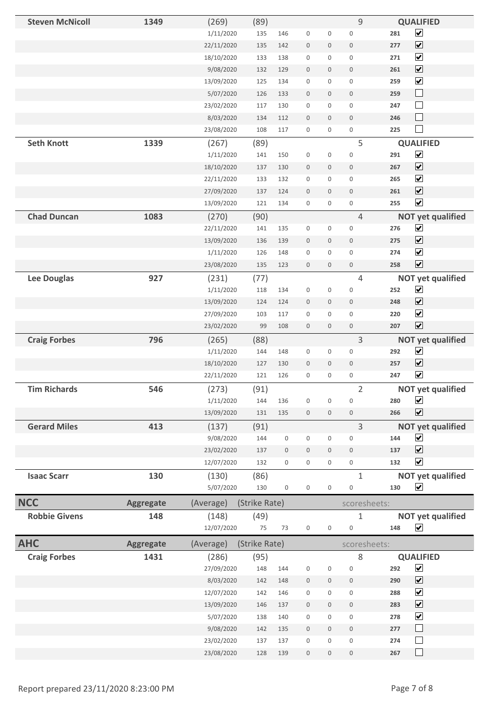| <b>Steven McNicoll</b> | 1349             | (269)               | (89)          |                  |                  |                     | 9                               |     | <b>QUALIFIED</b>                                 |
|------------------------|------------------|---------------------|---------------|------------------|------------------|---------------------|---------------------------------|-----|--------------------------------------------------|
|                        |                  | 1/11/2020           | 135           | 146              | $\boldsymbol{0}$ | $\boldsymbol{0}$    | $\boldsymbol{0}$                | 281 | $\overline{\mathbf{v}}$                          |
|                        |                  | 22/11/2020          | 135           | 142              | $\boldsymbol{0}$ | $\boldsymbol{0}$    | $\boldsymbol{0}$                | 277 | $\overline{\mathbf{v}}$                          |
|                        |                  | 18/10/2020          | 133           | 138              | $\boldsymbol{0}$ | $\boldsymbol{0}$    | $\boldsymbol{0}$                | 271 | $\overline{\mathbf{v}}$                          |
|                        |                  | 9/08/2020           | 132           | 129              | $\boldsymbol{0}$ | $\mathbf 0$         | $\mathbf 0$                     | 261 | $\boxed{\blacktriangledown}$                     |
|                        |                  | 13/09/2020          | 125           | 134              | $\boldsymbol{0}$ | 0                   | $\boldsymbol{0}$                | 259 | $\overline{\mathbf{v}}$                          |
|                        |                  | 5/07/2020           | 126           | 133              | $\boldsymbol{0}$ | $\mathbf 0$         | $\boldsymbol{0}$                | 259 | $\Box$                                           |
|                        |                  | 23/02/2020          | 117           | 130              | $\boldsymbol{0}$ | $\mathsf 0$         | $\mathsf 0$                     | 247 | $\Box$                                           |
|                        |                  | 8/03/2020           | 134           | 112              | $\boldsymbol{0}$ | $\boldsymbol{0}$    | $\boldsymbol{0}$                | 246 | $\Box$                                           |
|                        |                  | 23/08/2020          | 108           | 117              | $\boldsymbol{0}$ | 0                   | $\boldsymbol{0}$                | 225 | $\Box$                                           |
| <b>Seth Knott</b>      | 1339             | (267)               | (89)          |                  |                  |                     | 5                               |     | <b>QUALIFIED</b>                                 |
|                        |                  | 1/11/2020           | 141           | 150              | $\boldsymbol{0}$ | $\boldsymbol{0}$    | $\boldsymbol{0}$                | 291 | $\overline{\mathbf{v}}$                          |
|                        |                  | 18/10/2020          | 137           | 130              | $\boldsymbol{0}$ | $\mathbf 0$         | $\boldsymbol{0}$                | 267 | $\overline{\mathbf{v}}$                          |
|                        |                  | 22/11/2020          | 133           | 132              | $\boldsymbol{0}$ | $\boldsymbol{0}$    | $\boldsymbol{0}$                | 265 | $\blacktriangleright$                            |
|                        |                  | 27/09/2020          | 137           | 124              | $\boldsymbol{0}$ | $\mathbf 0$         | $\mathbf 0$                     | 261 | $\overline{\mathbf{v}}$                          |
|                        |                  | 13/09/2020          | 121           | 134              | $\boldsymbol{0}$ | 0                   | $\boldsymbol{0}$                | 255 | $\overline{\mathbf{v}}$                          |
| <b>Chad Duncan</b>     | 1083             | (270)               | (90)          |                  |                  |                     | $\overline{4}$                  |     | <b>NOT yet qualified</b>                         |
|                        |                  | 22/11/2020          | 141           | 135              | $\boldsymbol{0}$ | 0                   | $\boldsymbol{0}$                | 276 | $\overline{\mathbf{v}}$                          |
|                        |                  | 13/09/2020          | 136           | 139              | $\boldsymbol{0}$ | $\mathbf 0$         | $\mathbf 0$                     | 275 | $\overline{\blacktriangledown}$                  |
|                        |                  | 1/11/2020           | 126           | 148              | $\mathbf 0$      | $\mathsf{O}\xspace$ | $\boldsymbol{0}$                | 274 | $\blacktriangleright$                            |
|                        |                  | 23/08/2020          | 135           | 123              | $\boldsymbol{0}$ | $\mathbf 0$         | $\boldsymbol{0}$                | 258 | $\overline{\mathbf{v}}$                          |
| Lee Douglas            | 927              | (231)               | (77)          |                  |                  |                     | 4                               |     | <b>NOT yet qualified</b>                         |
|                        |                  | 1/11/2020           | 118           | 134              | $\boldsymbol{0}$ | $\boldsymbol{0}$    | $\boldsymbol{0}$                | 252 | $\blacktriangledown$                             |
|                        |                  | 13/09/2020          | 124           | 124              | $\boldsymbol{0}$ | $\mathbf 0$         | $\boldsymbol{0}$                | 248 | $\overline{\blacktriangledown}$                  |
|                        |                  | 27/09/2020          | 103           | 117              | $\boldsymbol{0}$ | 0                   | $\mathsf 0$                     | 220 | $\blacktriangleright$                            |
|                        |                  | 23/02/2020          | 99            | 108              | $\boldsymbol{0}$ | $\boldsymbol{0}$    | $\boldsymbol{0}$                | 207 | $\overline{\mathbf{v}}$                          |
| <b>Craig Forbes</b>    | 796              | (265)               | (88)          |                  |                  |                     | 3                               |     | <b>NOT yet qualified</b>                         |
|                        |                  | 1/11/2020           | 144           | 148              | $\boldsymbol{0}$ | $\boldsymbol{0}$    | $\boldsymbol{0}$                | 292 | $\blacktriangledown$                             |
|                        |                  | 18/10/2020          | 127           | 130              | $\boldsymbol{0}$ | $\mathbf 0$         | $\mathbf 0$                     | 257 | $\blacktriangledown$                             |
|                        |                  | 22/11/2020          | 121           | 126              | $\boldsymbol{0}$ | 0                   | $\boldsymbol{0}$                | 247 | $\overline{\mathbf{v}}$                          |
| <b>Tim Richards</b>    | 546              | (273)               | (91)          |                  |                  |                     | $\overline{2}$                  |     | <b>NOT yet qualified</b>                         |
|                        |                  | 1/11/2020           | 144           | 136              | $\boldsymbol{0}$ | 0                   | $\boldsymbol{0}$                | 280 | $\blacktriangledown$                             |
|                        |                  | 13/09/2020          | 131           | 135              | $\boldsymbol{0}$ | $\mathbf 0$         | $\boldsymbol{0}$                | 266 | $\overline{\mathbf{v}}$                          |
| <b>Gerard Miles</b>    | 413              | (137)               | (91)          |                  |                  |                     | 3                               |     | <b>NOT yet qualified</b>                         |
|                        |                  | 9/08/2020           | 144           | $\boldsymbol{0}$ | $\boldsymbol{0}$ | $\boldsymbol{0}$    | $\boldsymbol{0}$                | 144 | $\blacktriangledown$                             |
|                        |                  | 23/02/2020          | 137           | $\boldsymbol{0}$ | $\boldsymbol{0}$ | $\boldsymbol{0}$    | $\boldsymbol{0}$                | 137 | $\blacktriangledown$                             |
|                        |                  | 12/07/2020          | 132           | $\boldsymbol{0}$ | $\boldsymbol{0}$ | $\mathsf{O}\xspace$ | $\boldsymbol{0}$                | 132 | $\blacktriangledown$                             |
| <b>Isaac Scarr</b>     | 130              | (130)               | (86)          |                  |                  |                     | $\mathbf{1}$                    |     | <b>NOT yet qualified</b>                         |
|                        |                  | 5/07/2020           | 130           | $\boldsymbol{0}$ | $\boldsymbol{0}$ | $\boldsymbol{0}$    | $\boldsymbol{0}$                | 130 | $\blacktriangledown$                             |
| <b>NCC</b>             |                  |                     | (Strike Rate) |                  |                  |                     | scoresheets:                    |     |                                                  |
|                        |                  |                     |               |                  |                  |                     |                                 |     |                                                  |
|                        | <b>Aggregate</b> | (Average)           |               |                  |                  |                     |                                 |     |                                                  |
| <b>Robbie Givens</b>   | 148              | (148)<br>12/07/2020 | (49)<br>75    | 73               | $\boldsymbol{0}$ | $\boldsymbol{0}$    | $\mathbf 1$<br>$\boldsymbol{0}$ | 148 | <b>NOT yet qualified</b><br>$\blacktriangledown$ |
|                        |                  |                     |               |                  |                  |                     |                                 |     |                                                  |
| <b>AHC</b>             | <b>Aggregate</b> | (Average)           | (Strike Rate) |                  |                  |                     | scoresheets:                    |     |                                                  |
| <b>Craig Forbes</b>    | 1431             | (286)<br>27/09/2020 | (95)<br>148   | 144              | $\boldsymbol{0}$ | $\boldsymbol{0}$    | 8<br>$\boldsymbol{0}$           | 292 | <b>QUALIFIED</b><br>$\blacktriangledown$         |
|                        |                  | 8/03/2020           | 142           | 148              | $\boldsymbol{0}$ | $\mathbf 0$         | $\boldsymbol{0}$                | 290 | $\overline{\mathbf{v}}$                          |
|                        |                  | 12/07/2020          | 142           | 146              | $\boldsymbol{0}$ | 0                   | $\boldsymbol{0}$                | 288 | $\blacktriangledown$                             |
|                        |                  | 13/09/2020          | 146           | 137              | $\boldsymbol{0}$ | $\mathbf 0$         | $\boldsymbol{0}$                | 283 | $\overline{\mathbf{v}}$                          |
|                        |                  | 5/07/2020           | 138           | 140              | $\boldsymbol{0}$ | $\mathsf 0$         | $\boldsymbol{0}$                | 278 | $\overline{\mathbf{v}}$                          |
|                        |                  | 9/08/2020           | 142           | 135              | $\boldsymbol{0}$ | $\boldsymbol{0}$    | $\,0\,$                         | 277 | $\Box$                                           |
|                        |                  | 23/02/2020          | 137           | 137              | $\boldsymbol{0}$ | 0                   | $\boldsymbol{0}$                | 274 | $\Box$                                           |